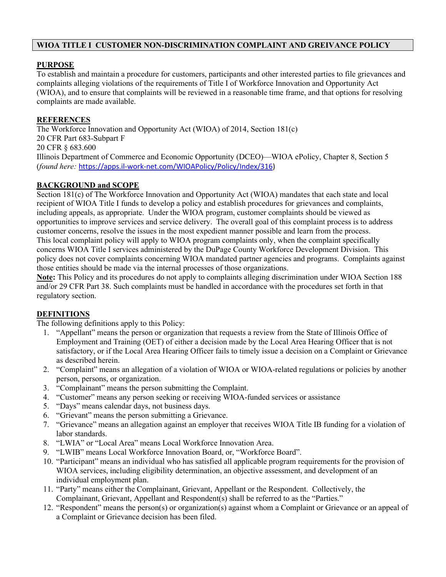# **WIOA TITLE I CUSTOMER NON-DISCRIMINATION COMPLAINT AND GREIVANCE POLICY**

## **PURPOSE**

To establish and maintain a procedure for customers, participants and other interested parties to file grievances and complaints alleging violations of the requirements of Title I of Workforce Innovation and Opportunity Act (WIOA), and to ensure that complaints will be reviewed in a reasonable time frame, and that options for resolving complaints are made available.

## **REFERENCES**

The Workforce Innovation and Opportunity Act (WIOA) of 2014, Section 181(c) 20 CFR Part 683-Subpart F 20 CFR § 683.600 Illinois Department of Commerce and Economic Opportunity (DCEO)—WIOA ePolicy, Chapter 8, Section 5 (*found here:* [https://apps.il-work-net.com/WIOAPolicy/Policy/Index/316\)](https://apps.il-work-net.com/WIOAPolicy/Policy/Index/316)

#### **BACKGROUND and SCOPE**

Section 181(c) of The Workforce Innovation and Opportunity Act (WIOA) mandates that each state and local recipient of WIOA Title I funds to develop a policy and establish procedures for grievances and complaints, including appeals, as appropriate. Under the WIOA program, customer complaints should be viewed as opportunities to improve services and service delivery. The overall goal of this complaint process is to address customer concerns, resolve the issues in the most expedient manner possible and learn from the process. This local complaint policy will apply to WIOA program complaints only, when the complaint specifically concerns WIOA Title I services administered by the DuPage County Workforce Development Division. This policy does not cover complaints concerning WIOA mandated partner agencies and programs. Complaints against those entities should be made via the internal processes of those organizations.

**Note:** This Policy and its procedures do not apply to complaints alleging discrimination under WIOA Section 188 and/or 29 CFR Part 38. Such complaints must be handled in accordance with the procedures set forth in that regulatory section.

# **DEFINITIONS**

The following definitions apply to this Policy:

- 1. "Appellant" means the person or organization that requests a review from the State of Illinois Office of Employment and Training (OET) of either a decision made by the Local Area Hearing Officer that is not satisfactory, or if the Local Area Hearing Officer fails to timely issue a decision on a Complaint or Grievance as described herein.
- 2. "Complaint" means an allegation of a violation of WIOA or WIOA-related regulations or policies by another person, persons, or organization.
- 3. "Complainant" means the person submitting the Complaint.
- 4. "Customer" means any person seeking or receiving WIOA-funded services or assistance
- 5. "Days" means calendar days, not business days.
- 6. "Grievant" means the person submitting a Grievance.
- 7. "Grievance" means an allegation against an employer that receives WIOA Title IB funding for a violation of labor standards.
- 8. "LWIA" or "Local Area" means Local Workforce Innovation Area.
- 9. "LWIB" means Local Workforce Innovation Board, or, "Workforce Board".
- 10. "Participant" means an individual who has satisfied all applicable program requirements for the provision of WIOA services, including eligibility determination, an objective assessment, and development of an individual employment plan.
- 11. "Party" means either the Complainant, Grievant, Appellant or the Respondent. Collectively, the Complainant, Grievant, Appellant and Respondent(s) shall be referred to as the "Parties."
- 12. "Respondent" means the person(s) or organization(s) against whom a Complaint or Grievance or an appeal of a Complaint or Grievance decision has been filed.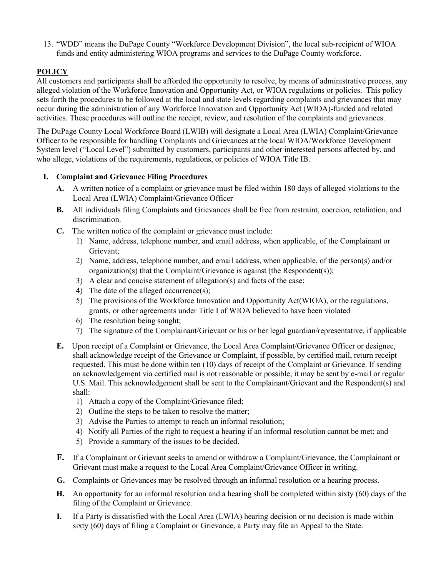13. "WDD" means the DuPage County "Workforce Development Division", the local sub-recipient of WIOA funds and entity administering WIOA programs and services to the DuPage County workforce.

# **POLICY**

All customers and participants shall be afforded the opportunity to resolve, by means of administrative process, any alleged violation of the Workforce Innovation and Opportunity Act, or WIOA regulations or policies. This policy sets forth the procedures to be followed at the local and state levels regarding complaints and grievances that may occur during the administration of any Workforce Innovation and Opportunity Act (WIOA)-funded and related activities. These procedures will outline the receipt, review, and resolution of the complaints and grievances.

The DuPage County Local Workforce Board (LWIB) will designate a Local Area (LWIA) Complaint/Grievance Officer to be responsible for handling Complaints and Grievances at the local WIOA/Workforce Development System level ("Local Level") submitted by customers, participants and other interested persons affected by, and who allege, violations of the requirements, regulations, or policies of WIOA Title IB.

## **I. Complaint and Grievance Filing Procedures**

- **A.** A written notice of a complaint or grievance must be filed within 180 days of alleged violations to the Local Area (LWIA) Complaint/Grievance Officer
- **B.** All individuals filing Complaints and Grievances shall be free from restraint, coercion, retaliation, and discrimination.
- **C.** The written notice of the complaint or grievance must include:
	- 1) Name, address, telephone number, and email address, when applicable, of the Complainant or Grievant;
	- 2) Name, address, telephone number, and email address, when applicable, of the person(s) and/or organization(s) that the Complaint/Grievance is against (the Respondent(s));
	- 3) A clear and concise statement of allegation(s) and facts of the case;
	- 4) The date of the alleged occurrence(s);
	- 5) The provisions of the Workforce Innovation and Opportunity Act(WIOA), or the regulations, grants, or other agreements under Title I of WIOA believed to have been violated
	- 6) The resolution being sought;
	- 7) The signature of the Complainant/Grievant or his or her legal guardian/representative, if applicable
- **E.** Upon receipt of a Complaint or Grievance, the Local Area Complaint/Grievance Officer or designee, shall acknowledge receipt of the Grievance or Complaint, if possible, by certified mail, return receipt requested. This must be done within ten (10) days of receipt of the Complaint or Grievance. If sending an acknowledgement via certified mail is not reasonable or possible, it may be sent by e-mail or regular U.S. Mail. This acknowledgement shall be sent to the Complainant/Grievant and the Respondent(s) and shall:
	- 1) Attach a copy of the Complaint/Grievance filed;
	- 2) Outline the steps to be taken to resolve the matter;
	- 3) Advise the Parties to attempt to reach an informal resolution;
	- 4) Notify all Parties of the right to request a hearing if an informal resolution cannot be met; and
	- 5) Provide a summary of the issues to be decided.
- **F.** If a Complainant or Grievant seeks to amend or withdraw a Complaint/Grievance, the Complainant or Grievant must make a request to the Local Area Complaint/Grievance Officer in writing.
- **G.** Complaints or Grievances may be resolved through an informal resolution or a hearing process.
- **H.** An opportunity for an informal resolution and a hearing shall be completed within sixty (60) days of the filing of the Complaint or Grievance.
- **I.** If a Party is dissatisfied with the Local Area (LWIA) hearing decision or no decision is made within sixty (60) days of filing a Complaint or Grievance, a Party may file an Appeal to the State.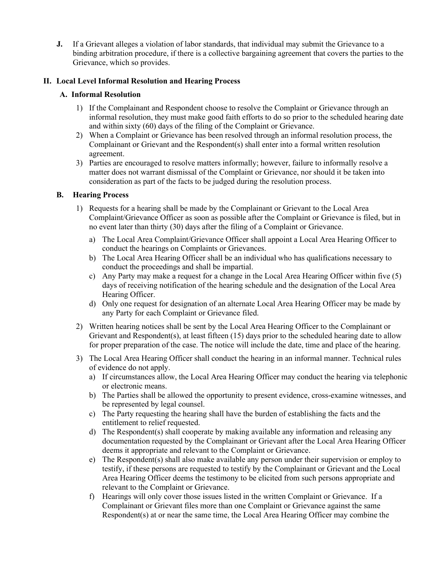**J.** If a Grievant alleges a violation of labor standards, that individual may submit the Grievance to a binding arbitration procedure, if there is a collective bargaining agreement that covers the parties to the Grievance, which so provides.

## **II. Local Level Informal Resolution and Hearing Process**

## **A. Informal Resolution**

- 1) If the Complainant and Respondent choose to resolve the Complaint or Grievance through an informal resolution, they must make good faith efforts to do so prior to the scheduled hearing date and within sixty (60) days of the filing of the Complaint or Grievance.
- 2) When a Complaint or Grievance has been resolved through an informal resolution process, the Complainant or Grievant and the Respondent(s) shall enter into a formal written resolution agreement.
- 3) Parties are encouraged to resolve matters informally; however, failure to informally resolve a matter does not warrant dismissal of the Complaint or Grievance, nor should it be taken into consideration as part of the facts to be judged during the resolution process.

## **B. Hearing Process**

- 1) Requests for a hearing shall be made by the Complainant or Grievant to the Local Area Complaint/Grievance Officer as soon as possible after the Complaint or Grievance is filed, but in no event later than thirty (30) days after the filing of a Complaint or Grievance.
	- a) The Local Area Complaint/Grievance Officer shall appoint a Local Area Hearing Officer to conduct the hearings on Complaints or Grievances.
	- b) The Local Area Hearing Officer shall be an individual who has qualifications necessary to conduct the proceedings and shall be impartial.
	- c) Any Party may make a request for a change in the Local Area Hearing Officer within five (5) days of receiving notification of the hearing schedule and the designation of the Local Area Hearing Officer.
	- d) Only one request for designation of an alternate Local Area Hearing Officer may be made by any Party for each Complaint or Grievance filed.
- 2) Written hearing notices shall be sent by the Local Area Hearing Officer to the Complainant or Grievant and Respondent(s), at least fifteen (15) days prior to the scheduled hearing date to allow for proper preparation of the case. The notice will include the date, time and place of the hearing.
- 3) The Local Area Hearing Officer shall conduct the hearing in an informal manner. Technical rules of evidence do not apply.
	- a) If circumstances allow, the Local Area Hearing Officer may conduct the hearing via telephonic or electronic means.
	- b) The Parties shall be allowed the opportunity to present evidence, cross-examine witnesses, and be represented by legal counsel.
	- c) The Party requesting the hearing shall have the burden of establishing the facts and the entitlement to relief requested.
	- d) The Respondent(s) shall cooperate by making available any information and releasing any documentation requested by the Complainant or Grievant after the Local Area Hearing Officer deems it appropriate and relevant to the Complaint or Grievance.
	- e) The Respondent(s) shall also make available any person under their supervision or employ to testify, if these persons are requested to testify by the Complainant or Grievant and the Local Area Hearing Officer deems the testimony to be elicited from such persons appropriate and relevant to the Complaint or Grievance.
	- f) Hearings will only cover those issues listed in the written Complaint or Grievance. If a Complainant or Grievant files more than one Complaint or Grievance against the same Respondent(s) at or near the same time, the Local Area Hearing Officer may combine the